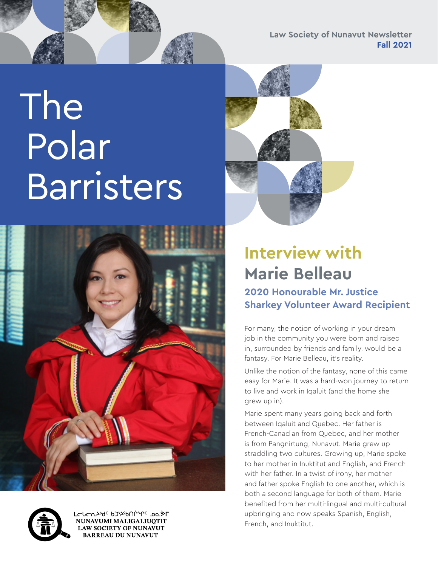**Law Society of Nunavut Newsletter Fall 2021**

# The Polar **Barristers**





## **Interview with Marie Belleau**

### **2020 Honourable Mr. Justice Sharkey Volunteer Award Recipient**

For many, the notion of working in your dream job in the community you were born and raised in, surrounded by friends and family, would be a fantasy. For Marie Belleau, it's reality.

Unlike the notion of the fantasy, none of this came easy for Marie. It was a hard-won journey to return to live and work in Iqaluit (and the home she grew up in).

Marie spent many years going back and forth between Iqaluit and Quebec. Her father is French-Canadian from Quebec, and her mother is from Pangnirtung, Nunavut. Marie grew up straddling two cultures. Growing up, Marie spoke to her mother in Inuktitut and English, and French with her father. In a twist of irony, her mother and father spoke English to one another, which is both a second language for both of them. Marie benefited from her multi-lingual and multi-cultural upbringing and now speaks Spanish, English, French, and Inuktitut.



LCՐՐՄԽզ<sub>c</sub> *P*2x<sub>2</sub>PU - ססיאנטער ד NUNAVUMI MALIGALIUOTIT **LAW SOCIETY OF NUNAVUT BARREAU DU NUNAVUT**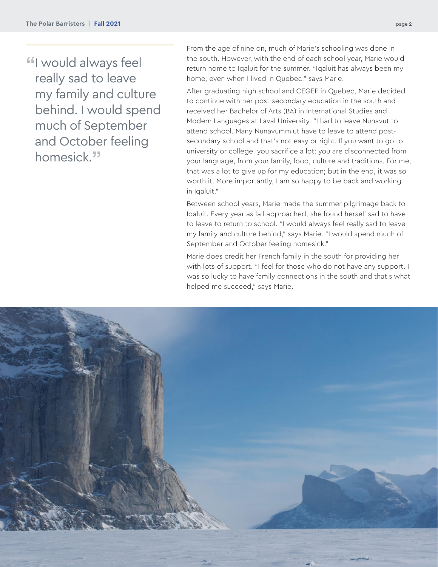"I would always feel really sad to leave my family and culture behind. I would spend much of September and October feeling homesick."

From the age of nine on, much of Marie's schooling was done in the south. However, with the end of each school year, Marie would return home to Iqaluit for the summer. "Iqaluit has always been my home, even when I lived in Quebec," says Marie.

After graduating high school and CEGEP in Quebec, Marie decided to continue with her post-secondary education in the south and received her Bachelor of Arts (BA) in International Studies and Modern Languages at Laval University. "I had to leave Nunavut to attend school. Many Nunavummiut have to leave to attend postsecondary school and that's not easy or right. If you want to go to university or college, you sacrifice a lot; you are disconnected from your language, from your family, food, culture and traditions. For me, that was a lot to give up for my education; but in the end, it was so worth it. More importantly, I am so happy to be back and working in Igaluit."

Between school years, Marie made the summer pilgrimage back to Iqaluit. Every year as fall approached, she found herself sad to have to leave to return to school. "I would always feel really sad to leave my family and culture behind," says Marie. "I would spend much of September and October feeling homesick."

Marie does credit her French family in the south for providing her with lots of support. "I feel for those who do not have any support. I was so lucky to have family connections in the south and that's what helped me succeed," says Marie.

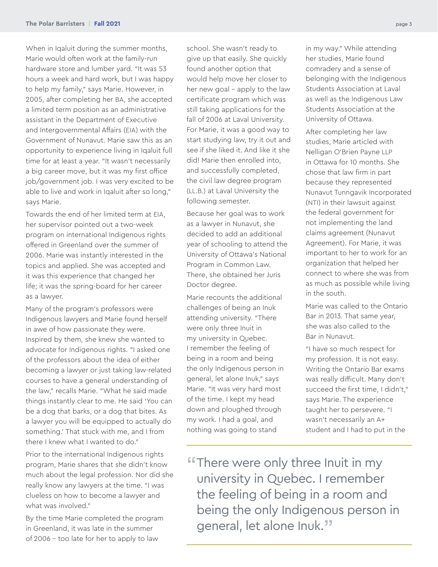When in Iqaluit during the summer months, Marie would often work at the family-run hardware store and lumber yard. "It was 53 hours a week and hard work, but I was happy to help my family," says Marie. However, in 2005, after completing her BA, she accepted a limited term position as an administrative assistant in the Department of Executive and Intergovernmental Affairs (EIA) with the Government of Nunavut. Marie saw this as an opportunity to experience living in Iqaluit full time for at least a year. "It wasn't necessarily a big career move, but it was my first office job/government job. I was very excited to be able to live and work in Iqaluit after so long," says Marie.

Towards the end of her limited term at EIA, her supervisor pointed out a two-week program on international Indigenous rights offered in Greenland over the summer of 2006. Marie was instantly interested in the topics and applied. She was accepted and it was this experience that changed her life; it was the spring-board for her career as a lawyer.

Many of the program's professors were Indigenous lawyers and Marie found herself in awe of how passionate they were. Inspired by them, she knew she wanted to advocate for Indigenous rights. "I asked one of the professors about the idea of either becoming a lawyer or just taking law-related courses to have a general understanding of the law," recalls Marie. "What he said made things instantly clear to me. He said 'You can be a dog that barks, or a dog that bites. As a lawyer you will be equipped to actually do something.' That stuck with me, and I from there I knew what I wanted to do."

Prior to the international Indigenous rights program, Marie shares that she didn't know much about the legal profession. Nor did she really know any lawyers at the time. "I was clueless on how to become a lawyer and what was involved."

By the time Marie completed the program in Greenland, it was late in the summer of 2006 – too late for her to apply to law

school. She wasn't ready to give up that easily. She quickly found another option that would help move her closer to her new goal – apply to the law certificate program which was still taking applications for the fall of 2006 at Laval University. For Marie, it was a good way to start studying law, try it out and see if she liked it. And like it she did! Marie then enrolled into, and successfully completed, the civil law degree program (LL.B.) at Laval University the following semester.

Because her goal was to work as a lawyer in Nunavut, she decided to add an additional year of schooling to attend the University of Ottawa's National Program in Common Law. There, she obtained her Juris Doctor degree.

Marie recounts the additional challenges of being an Inuk attending university. "There were only three Inuit in my university in Quebec. I remember the feeling of being in a room and being the only Indigenous person in general, let alone Inuk," says Marie. "It was very hard most of the time. I kept my head down and ploughed through my work. I had a goal, and nothing was going to stand

in my way." While attending her studies, Marie found comradery and a sense of belonging with the Indigenous Students Association at Laval as well as the Indigenous Law Students Association at the University of Ottawa.

After completing her law studies, Marie articled with Nelligan O'Brien Payne LLP in Ottawa for 10 months. She chose that law firm in part because they represented Nunavut Tunngavik Incorporated (NTI) in their lawsuit against the federal government for not implementing the land claims agreement (Nunavut Agreement). For Marie, it was important to her to work for an organization that helped her connect to where she was from as much as possible while living in the south.

Marie was called to the Ontario Bar in 2013. That same year, she was also called to the Bar in Nunavut.

"I have so much respect for my profession. It is not easy. Writing the Ontario Bar exams was really difficult. Many don't succeed the first time, I didn't," says Marie. The experience taught her to persevere. "I wasn't necessarily an A+ student and I had to put in the

"There were only three Inuit in my university in Quebec. I remember the feeling of being in a room and being the only Indigenous person in general, let alone Inuk."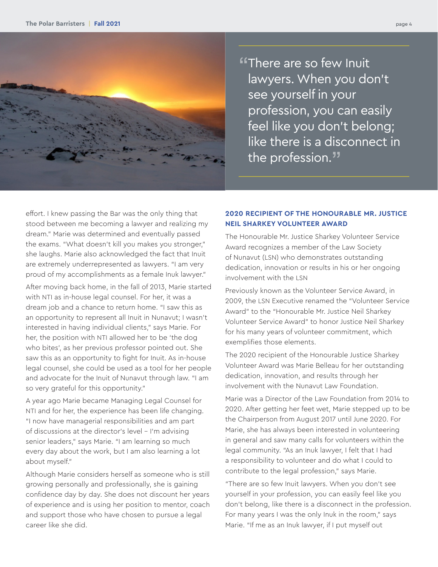

"There are so few Inuit lawyers. When you don't see yourself in your profession, you can easily feel like you don't belong; like there is a disconnect in the profession."

effort. I knew passing the Bar was the only thing that stood between me becoming a lawyer and realizing my dream." Marie was determined and eventually passed the exams. "What doesn't kill you makes you stronger," she laughs. Marie also acknowledged the fact that Inuit are extremely underrepresented as lawyers. "I am very proud of my accomplishments as a female Inuk lawyer." After moving back home, in the fall of 2013, Marie started with NTI as in-house legal counsel. For her, it was a dream job and a chance to return home. "I saw this as an opportunity to represent all Inuit in Nunavut; I wasn't interested in having individual clients," says Marie. For her, the position with NTI allowed her to be 'the dog who bites', as her previous professor pointed out. She saw this as an opportunity to fight for Inuit. As in-house legal counsel, she could be used as a tool for her people and advocate for the Inuit of Nunavut through law. "I am so very grateful for this opportunity."

A year ago Marie became Managing Legal Counsel for NTI and for her, the experience has been life changing. "I now have managerial responsibilities and am part of discussions at the director's level – I'm advising senior leaders," says Marie. "I am learning so much every day about the work, but I am also learning a lot about myself."

Although Marie considers herself as someone who is still growing personally and professionally, she is gaining confidence day by day. She does not discount her years of experience and is using her position to mentor, coach and support those who have chosen to pursue a legal career like she did.

#### **2020 RECIPIENT OF THE HONOURABLE MR. JUSTICE NEIL SHARKEY VOLUNTEER AWARD**

The Honourable Mr. Justice Sharkey Volunteer Service Award recognizes a member of the Law Society of Nunavut (LSN) who demonstrates outstanding dedication, innovation or results in his or her ongoing involvement with the LSN

Previously known as the Volunteer Service Award, in 2009, the LSN Executive renamed the "Volunteer Service Award" to the "Honourable Mr. Justice Neil Sharkey Volunteer Service Award" to honor Justice Neil Sharkey for his many years of volunteer commitment, which exemplifies those elements.

The 2020 recipient of the Honourable Justice Sharkey Volunteer Award was Marie Belleau for her outstanding dedication, innovation, and results through her involvement with the Nunavut Law Foundation.

Marie was a Director of the Law Foundation from 2014 to 2020. After getting her feet wet, Marie stepped up to be the Chairperson from August 2017 until June 2020. For Marie, she has always been interested in volunteering in general and saw many calls for volunteers within the legal community. "As an Inuk lawyer, I felt that I had a responsibility to volunteer and do what I could to contribute to the legal profession," says Marie.

"There are so few Inuit lawyers. When you don't see yourself in your profession, you can easily feel like you don't belong, like there is a disconnect in the profession. For many years I was the only Inuk in the room," says Marie. "If me as an Inuk lawyer, if I put myself out